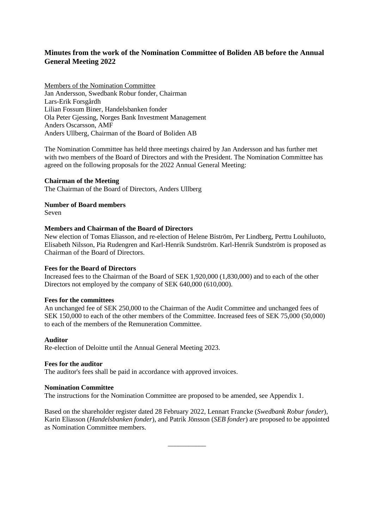# **Minutes from the work of the Nomination Committee of Boliden AB before the Annual General Meeting 2022**

Members of the Nomination Committee Jan Andersson, Swedbank Robur fonder, Chairman Lars-Erik Forsgårdh Lilian Fossum Biner, Handelsbanken fonder Ola Peter Gjessing, Norges Bank Investment Management Anders Oscarsson, AMF Anders Ullberg, Chairman of the Board of Boliden AB

The Nomination Committee has held three meetings chaired by Jan Andersson and has further met with two members of the Board of Directors and with the President. The Nomination Committee has agreed on the following proposals for the 2022 Annual General Meeting:

## **Chairman of the Meeting**

The Chairman of the Board of Directors, Anders Ullberg

### **Number of Board members**

Seven

### **Members and Chairman of the Board of Directors**

New election of Tomas Eliasson, and re-election of Helene Biström, Per Lindberg, Perttu Louhiluoto, Elisabeth Nilsson, Pia Rudengren and Karl-Henrik Sundström. Karl-Henrik Sundström is proposed as Chairman of the Board of Directors.

## **Fees for the Board of Directors**

Increased fees to the Chairman of the Board of SEK 1,920,000 (1,830,000) and to each of the other Directors not employed by the company of SEK 640,000 (610,000).

## **Fees for the committees**

An unchanged fee of SEK 250,000 to the Chairman of the Audit Committee and unchanged fees of SEK 150,000 to each of the other members of the Committee. Increased fees of SEK 75,000 (50,000) to each of the members of the Remuneration Committee.

#### **Auditor**

Re-election of Deloitte until the Annual General Meeting 2023.

#### **Fees for the auditor**

The auditor's fees shall be paid in accordance with approved invoices.

#### **Nomination Committee**

The instructions for the Nomination Committee are proposed to be amended, see Appendix 1.

Based on the shareholder register dated 28 February 2022, Lennart Francke (*Swedbank Robur fonder*), Karin Eliasson (*Handelsbanken fonder*)*,* and Patrik Jönsson (*SEB fonder*) are proposed to be appointed as Nomination Committee members.

\_\_\_\_\_\_\_\_\_\_\_